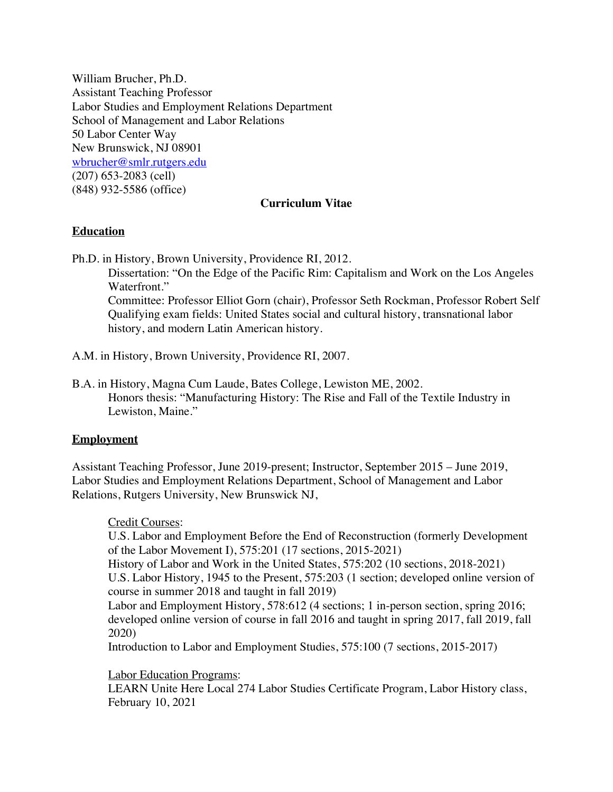William Brucher, Ph.D. Assistant Teaching Professor Labor Studies and Employment Relations Department School of Management and Labor Relations 50 Labor Center Way New Brunswick, NJ 08901 wbrucher@smlr.rutgers.edu (207) 653-2083 (cell) (848) 932-5586 (office)

### **Curriculum Vitae**

# **Education**

Ph.D. in History, Brown University, Providence RI, 2012.

Dissertation: "On the Edge of the Pacific Rim: Capitalism and Work on the Los Angeles Waterfront." Committee: Professor Elliot Gorn (chair), Professor Seth Rockman, Professor Robert Self Qualifying exam fields: United States social and cultural history, transnational labor history, and modern Latin American history.

A.M. in History, Brown University, Providence RI, 2007.

B.A. in History, Magna Cum Laude, Bates College, Lewiston ME, 2002. Honors thesis: "Manufacturing History: The Rise and Fall of the Textile Industry in Lewiston, Maine."

#### **Employment**

Assistant Teaching Professor, June 2019-present; Instructor, September 2015 – June 2019, Labor Studies and Employment Relations Department, School of Management and Labor Relations, Rutgers University, New Brunswick NJ,

Credit Courses:

U.S. Labor and Employment Before the End of Reconstruction (formerly Development of the Labor Movement I), 575:201 (17 sections, 2015-2021)

History of Labor and Work in the United States, 575:202 (10 sections, 2018-2021) U.S. Labor History, 1945 to the Present, 575:203 (1 section; developed online version of course in summer 2018 and taught in fall 2019)

Labor and Employment History, 578:612 (4 sections; 1 in-person section, spring 2016; developed online version of course in fall 2016 and taught in spring 2017, fall 2019, fall 2020)

Introduction to Labor and Employment Studies, 575:100 (7 sections, 2015-2017)

Labor Education Programs:

LEARN Unite Here Local 274 Labor Studies Certificate Program, Labor History class, February 10, 2021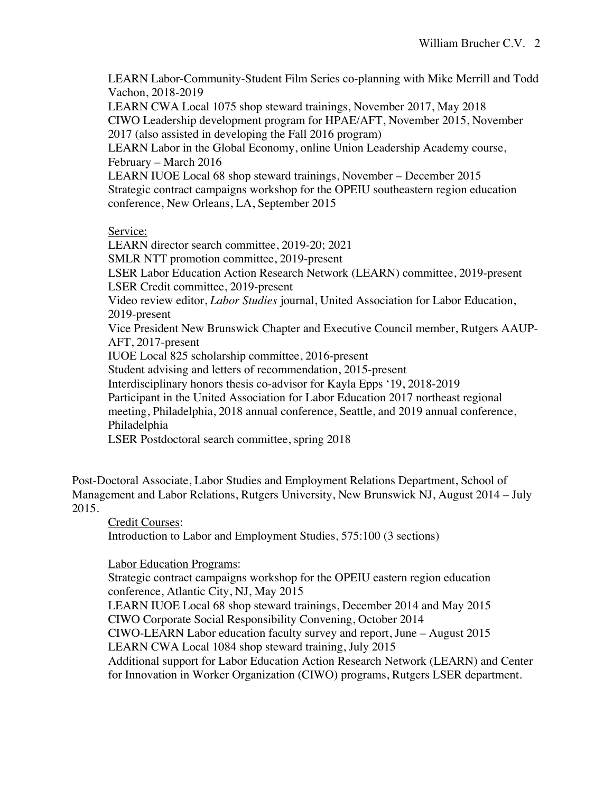LEARN Labor-Community-Student Film Series co-planning with Mike Merrill and Todd Vachon, 2018-2019

LEARN CWA Local 1075 shop steward trainings, November 2017, May 2018 CIWO Leadership development program for HPAE/AFT, November 2015, November 2017 (also assisted in developing the Fall 2016 program)

LEARN Labor in the Global Economy, online Union Leadership Academy course, February – March 2016

LEARN IUOE Local 68 shop steward trainings, November – December 2015 Strategic contract campaigns workshop for the OPEIU southeastern region education conference, New Orleans, LA, September 2015

# Service:

LEARN director search committee, 2019-20; 2021 SMLR NTT promotion committee, 2019-present LSER Labor Education Action Research Network (LEARN) committee, 2019-present LSER Credit committee, 2019-present Video review editor, *Labor Studies* journal, United Association for Labor Education, 2019-present Vice President New Brunswick Chapter and Executive Council member, Rutgers AAUP-AFT, 2017-present IUOE Local 825 scholarship committee, 2016-present Student advising and letters of recommendation, 2015-present Interdisciplinary honors thesis co-advisor for Kayla Epps '19, 2018-2019 Participant in the United Association for Labor Education 2017 northeast regional meeting, Philadelphia, 2018 annual conference, Seattle, and 2019 annual conference, Philadelphia

LSER Postdoctoral search committee, spring 2018

Post-Doctoral Associate, Labor Studies and Employment Relations Department, School of Management and Labor Relations, Rutgers University, New Brunswick NJ, August 2014 – July 2015.

Credit Courses:

Introduction to Labor and Employment Studies, 575:100 (3 sections)

# Labor Education Programs:

Strategic contract campaigns workshop for the OPEIU eastern region education conference, Atlantic City, NJ, May 2015 LEARN IUOE Local 68 shop steward trainings, December 2014 and May 2015 CIWO Corporate Social Responsibility Convening, October 2014 CIWO-LEARN Labor education faculty survey and report, June – August 2015 LEARN CWA Local 1084 shop steward training, July 2015 Additional support for Labor Education Action Research Network (LEARN) and Center for Innovation in Worker Organization (CIWO) programs, Rutgers LSER department.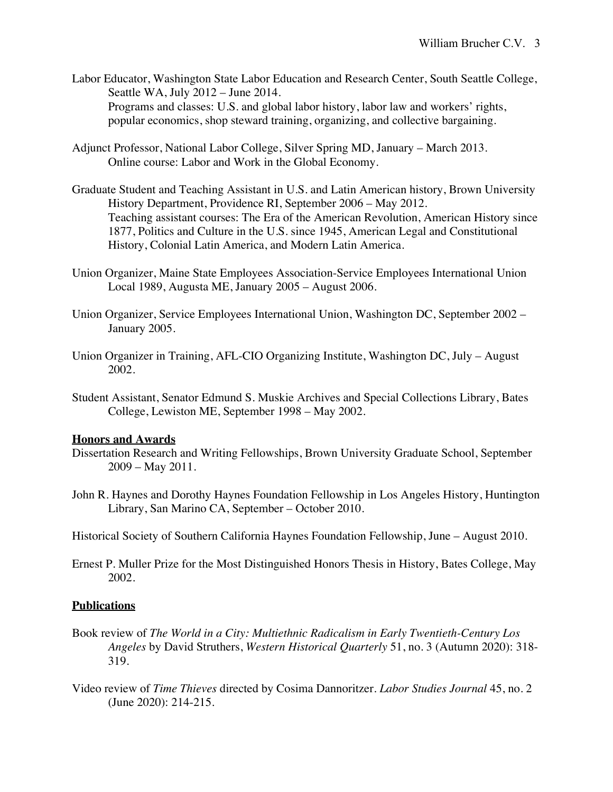- Labor Educator, Washington State Labor Education and Research Center, South Seattle College, Seattle WA, July 2012 – June 2014. Programs and classes: U.S. and global labor history, labor law and workers' rights, popular economics, shop steward training, organizing, and collective bargaining.
- Adjunct Professor, National Labor College, Silver Spring MD, January March 2013. Online course: Labor and Work in the Global Economy.
- Graduate Student and Teaching Assistant in U.S. and Latin American history, Brown University History Department, Providence RI, September 2006 – May 2012. Teaching assistant courses: The Era of the American Revolution, American History since 1877, Politics and Culture in the U.S. since 1945, American Legal and Constitutional History, Colonial Latin America, and Modern Latin America.
- Union Organizer, Maine State Employees Association-Service Employees International Union Local 1989, Augusta ME, January 2005 – August 2006.
- Union Organizer, Service Employees International Union, Washington DC, September 2002 January 2005.
- Union Organizer in Training, AFL-CIO Organizing Institute, Washington DC, July August 2002.
- Student Assistant, Senator Edmund S. Muskie Archives and Special Collections Library, Bates College, Lewiston ME, September 1998 – May 2002.

#### **Honors and Awards**

- Dissertation Research and Writing Fellowships, Brown University Graduate School, September 2009 – May 2011.
- John R. Haynes and Dorothy Haynes Foundation Fellowship in Los Angeles History, Huntington Library, San Marino CA, September – October 2010.
- Historical Society of Southern California Haynes Foundation Fellowship, June August 2010.
- Ernest P. Muller Prize for the Most Distinguished Honors Thesis in History, Bates College, May 2002.

# **Publications**

- Book review of *The World in a City: Multiethnic Radicalism in Early Twentieth-Century Los Angeles* by David Struthers, *Western Historical Quarterly* 51, no. 3 (Autumn 2020): 318- 319.
- Video review of *Time Thieves* directed by Cosima Dannoritzer. *Labor Studies Journal* 45, no. 2 (June 2020): 214-215.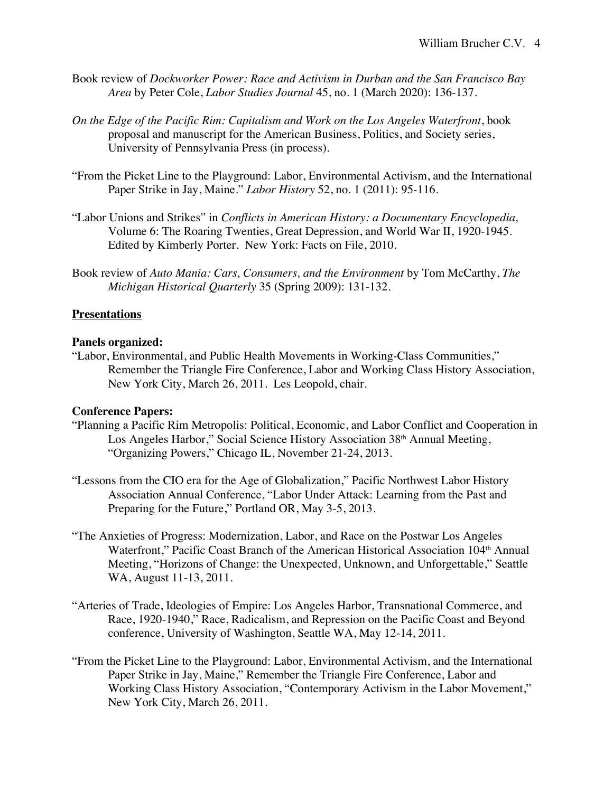- Book review of *Dockworker Power: Race and Activism in Durban and the San Francisco Bay Area* by Peter Cole, *Labor Studies Journal* 45, no. 1 (March 2020): 136-137.
- *On the Edge of the Pacific Rim: Capitalism and Work on the Los Angeles Waterfront*, book proposal and manuscript for the American Business, Politics, and Society series, University of Pennsylvania Press (in process).
- "From the Picket Line to the Playground: Labor, Environmental Activism, and the International Paper Strike in Jay, Maine." *Labor History* 52, no. 1 (2011): 95-116.
- "Labor Unions and Strikes" in *Conflicts in American History: a Documentary Encyclopedia,*  Volume 6: The Roaring Twenties, Great Depression, and World War II, 1920-1945. Edited by Kimberly Porter. New York: Facts on File, 2010.
- Book review of *Auto Mania: Cars, Consumers, and the Environment* by Tom McCarthy, *The Michigan Historical Quarterly* 35 (Spring 2009): 131-132.

### **Presentations**

#### **Panels organized:**

"Labor, Environmental, and Public Health Movements in Working-Class Communities," Remember the Triangle Fire Conference, Labor and Working Class History Association, New York City, March 26, 2011. Les Leopold, chair.

# **Conference Papers:**

- "Planning a Pacific Rim Metropolis: Political, Economic, and Labor Conflict and Cooperation in Los Angeles Harbor," Social Science History Association 38<sup>th</sup> Annual Meeting, "Organizing Powers," Chicago IL, November 21-24, 2013.
- "Lessons from the CIO era for the Age of Globalization," Pacific Northwest Labor History Association Annual Conference, "Labor Under Attack: Learning from the Past and Preparing for the Future," Portland OR, May 3-5, 2013.
- "The Anxieties of Progress: Modernization, Labor, and Race on the Postwar Los Angeles Waterfront," Pacific Coast Branch of the American Historical Association 104<sup>th</sup> Annual Meeting, "Horizons of Change: the Unexpected, Unknown, and Unforgettable," Seattle WA, August 11-13, 2011.
- "Arteries of Trade, Ideologies of Empire: Los Angeles Harbor, Transnational Commerce, and Race, 1920-1940," Race, Radicalism, and Repression on the Pacific Coast and Beyond conference, University of Washington, Seattle WA, May 12-14, 2011.
- "From the Picket Line to the Playground: Labor, Environmental Activism, and the International Paper Strike in Jay, Maine," Remember the Triangle Fire Conference, Labor and Working Class History Association, "Contemporary Activism in the Labor Movement," New York City, March 26, 2011.